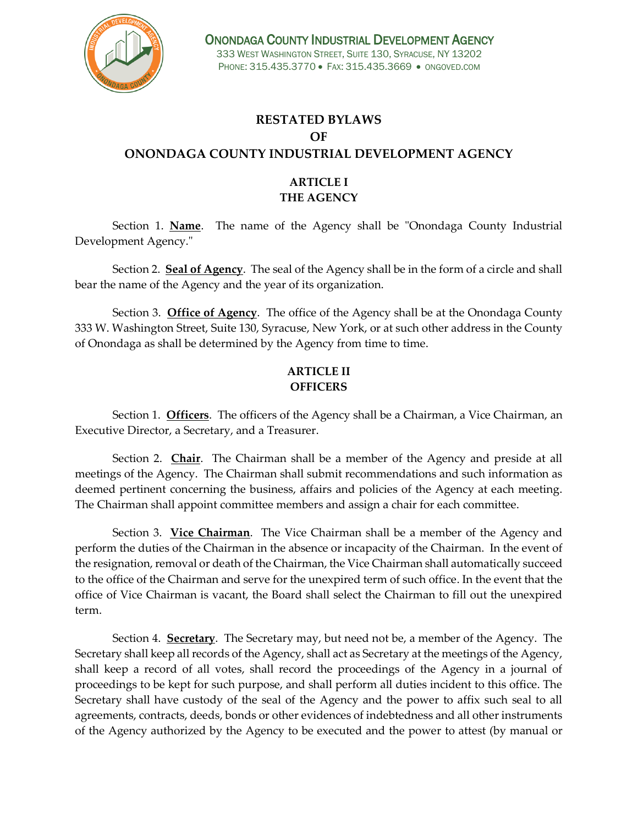

# **RESTATED BYLAWS OF ONONDAGA COUNTY INDUSTRIAL DEVELOPMENT AGENCY**

## **ARTICLE I THE AGENCY**

Section 1. **Name**. The name of the Agency shall be "Onondaga County Industrial Development Agency."

Section 2. **Seal of Agency**. The seal of the Agency shall be in the form of a circle and shall bear the name of the Agency and the year of its organization.

Section 3. **Office of Agency**. The office of the Agency shall be at the Onondaga County 333 W. Washington Street, Suite 130, Syracuse, New York, or at such other address in the County of Onondaga as shall be determined by the Agency from time to time.

## **ARTICLE II OFFICERS**

Section 1. **Officers**. The officers of the Agency shall be a Chairman, a Vice Chairman, an Executive Director, a Secretary, and a Treasurer.

Section 2. **Chair**. The Chairman shall be a member of the Agency and preside at all meetings of the Agency. The Chairman shall submit recommendations and such information as deemed pertinent concerning the business, affairs and policies of the Agency at each meeting. The Chairman shall appoint committee members and assign a chair for each committee.

Section 3. **Vice Chairman**. The Vice Chairman shall be a member of the Agency and perform the duties of the Chairman in the absence or incapacity of the Chairman. In the event of the resignation, removal or death of the Chairman, the Vice Chairman shall automatically succeed to the office of the Chairman and serve for the unexpired term of such office. In the event that the office of Vice Chairman is vacant, the Board shall select the Chairman to fill out the unexpired term.

Section 4. **Secretary**. The Secretary may, but need not be, a member of the Agency. The Secretary shall keep all records of the Agency, shall act as Secretary at the meetings of the Agency, shall keep a record of all votes, shall record the proceedings of the Agency in a journal of proceedings to be kept for such purpose, and shall perform all duties incident to this office. The Secretary shall have custody of the seal of the Agency and the power to affix such seal to all agreements, contracts, deeds, bonds or other evidences of indebtedness and all other instruments of the Agency authorized by the Agency to be executed and the power to attest (by manual or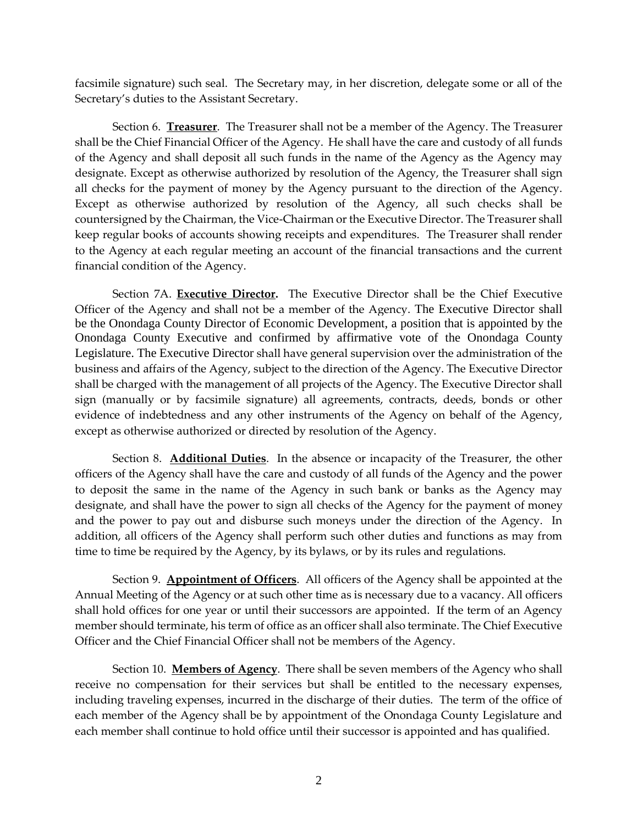facsimile signature) such seal. The Secretary may, in her discretion, delegate some or all of the Secretary's duties to the Assistant Secretary.

Section 6. **Treasurer**. The Treasurer shall not be a member of the Agency. The Treasurer shall be the Chief Financial Officer of the Agency. He shall have the care and custody of all funds of the Agency and shall deposit all such funds in the name of the Agency as the Agency may designate. Except as otherwise authorized by resolution of the Agency, the Treasurer shall sign all checks for the payment of money by the Agency pursuant to the direction of the Agency. Except as otherwise authorized by resolution of the Agency, all such checks shall be countersigned by the Chairman, the Vice-Chairman or the Executive Director. The Treasurer shall keep regular books of accounts showing receipts and expenditures. The Treasurer shall render to the Agency at each regular meeting an account of the financial transactions and the current financial condition of the Agency.

Section 7A. **Executive Director.** The Executive Director shall be the Chief Executive Officer of the Agency and shall not be a member of the Agency. The Executive Director shall be the Onondaga County Director of Economic Development, a position that is appointed by the Onondaga County Executive and confirmed by affirmative vote of the Onondaga County Legislature. The Executive Director shall have general supervision over the administration of the business and affairs of the Agency, subject to the direction of the Agency. The Executive Director shall be charged with the management of all projects of the Agency. The Executive Director shall sign (manually or by facsimile signature) all agreements, contracts, deeds, bonds or other evidence of indebtedness and any other instruments of the Agency on behalf of the Agency, except as otherwise authorized or directed by resolution of the Agency.

Section 8. **Additional Duties**. In the absence or incapacity of the Treasurer, the other officers of the Agency shall have the care and custody of all funds of the Agency and the power to deposit the same in the name of the Agency in such bank or banks as the Agency may designate, and shall have the power to sign all checks of the Agency for the payment of money and the power to pay out and disburse such moneys under the direction of the Agency. In addition, all officers of the Agency shall perform such other duties and functions as may from time to time be required by the Agency, by its bylaws, or by its rules and regulations.

Section 9. **Appointment of Officers**. All officers of the Agency shall be appointed at the Annual Meeting of the Agency or at such other time as is necessary due to a vacancy. All officers shall hold offices for one year or until their successors are appointed. If the term of an Agency member should terminate, his term of office as an officer shall also terminate. The Chief Executive Officer and the Chief Financial Officer shall not be members of the Agency.

Section 10. **Members of Agency**. There shall be seven members of the Agency who shall receive no compensation for their services but shall be entitled to the necessary expenses, including traveling expenses, incurred in the discharge of their duties. The term of the office of each member of the Agency shall be by appointment of the Onondaga County Legislature and each member shall continue to hold office until their successor is appointed and has qualified.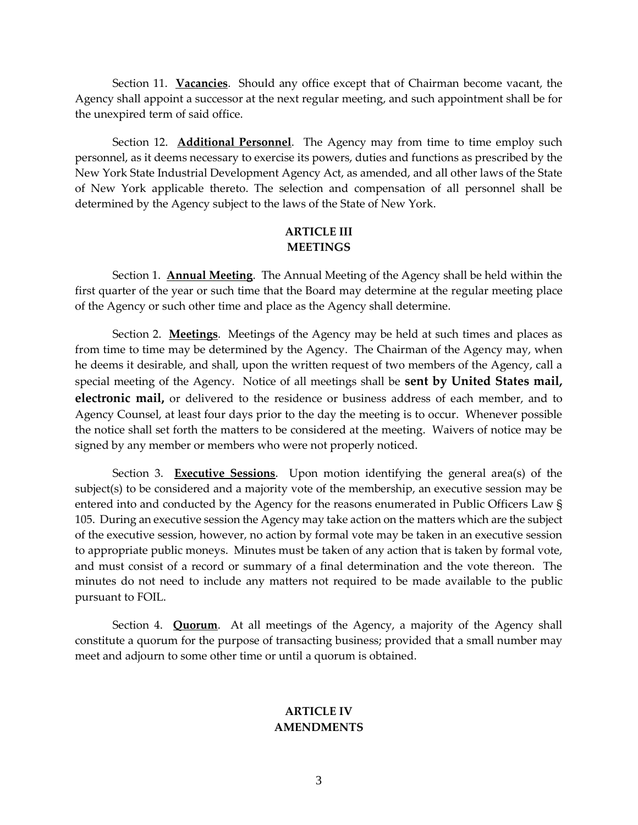Section 11. **Vacancies**. Should any office except that of Chairman become vacant, the Agency shall appoint a successor at the next regular meeting, and such appointment shall be for the unexpired term of said office.

Section 12. **Additional Personnel**. The Agency may from time to time employ such personnel, as it deems necessary to exercise its powers, duties and functions as prescribed by the New York State Industrial Development Agency Act, as amended, and all other laws of the State of New York applicable thereto. The selection and compensation of all personnel shall be determined by the Agency subject to the laws of the State of New York.

### **ARTICLE III MEETINGS**

Section 1. **Annual Meeting**. The Annual Meeting of the Agency shall be held within the first quarter of the year or such time that the Board may determine at the regular meeting place of the Agency or such other time and place as the Agency shall determine.

Section 2. **Meetings**. Meetings of the Agency may be held at such times and places as from time to time may be determined by the Agency. The Chairman of the Agency may, when he deems it desirable, and shall, upon the written request of two members of the Agency, call a special meeting of the Agency. Notice of all meetings shall be **sent by United States mail, electronic mail,** or delivered to the residence or business address of each member, and to Agency Counsel, at least four days prior to the day the meeting is to occur. Whenever possible the notice shall set forth the matters to be considered at the meeting. Waivers of notice may be signed by any member or members who were not properly noticed.

Section 3. **Executive Sessions**. Upon motion identifying the general area(s) of the subject(s) to be considered and a majority vote of the membership, an executive session may be entered into and conducted by the Agency for the reasons enumerated in Public Officers Law § 105. During an executive session the Agency may take action on the matters which are the subject of the executive session, however, no action by formal vote may be taken in an executive session to appropriate public moneys. Minutes must be taken of any action that is taken by formal vote, and must consist of a record or summary of a final determination and the vote thereon. The minutes do not need to include any matters not required to be made available to the public pursuant to FOIL.

Section 4. **Quorum**. At all meetings of the Agency, a majority of the Agency shall constitute a quorum for the purpose of transacting business; provided that a small number may meet and adjourn to some other time or until a quorum is obtained.

#### **ARTICLE IV AMENDMENTS**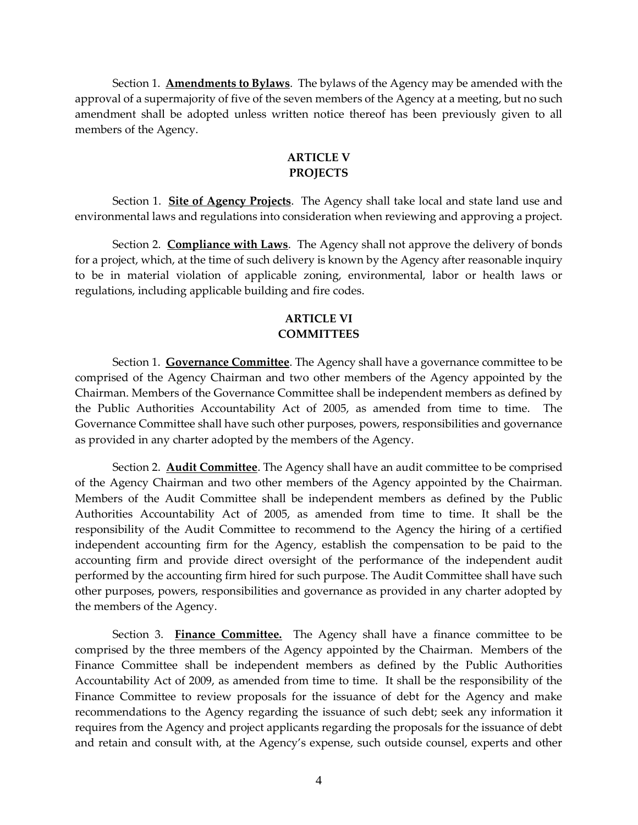Section 1. **Amendments to Bylaws**. The bylaws of the Agency may be amended with the approval of a supermajority of five of the seven members of the Agency at a meeting, but no such amendment shall be adopted unless written notice thereof has been previously given to all members of the Agency.

### **ARTICLE V PROJECTS**

Section 1. **Site of Agency Projects**. The Agency shall take local and state land use and environmental laws and regulations into consideration when reviewing and approving a project.

Section 2. **Compliance with Laws**. The Agency shall not approve the delivery of bonds for a project, which, at the time of such delivery is known by the Agency after reasonable inquiry to be in material violation of applicable zoning, environmental, labor or health laws or regulations, including applicable building and fire codes.

### **ARTICLE VI COMMITTEES**

Section 1. **Governance Committee**. The Agency shall have a governance committee to be comprised of the Agency Chairman and two other members of the Agency appointed by the Chairman. Members of the Governance Committee shall be independent members as defined by the Public Authorities Accountability Act of 2005, as amended from time to time. The Governance Committee shall have such other purposes, powers, responsibilities and governance as provided in any charter adopted by the members of the Agency.

Section 2. **Audit Committee**. The Agency shall have an audit committee to be comprised of the Agency Chairman and two other members of the Agency appointed by the Chairman. Members of the Audit Committee shall be independent members as defined by the Public Authorities Accountability Act of 2005, as amended from time to time. It shall be the responsibility of the Audit Committee to recommend to the Agency the hiring of a certified independent accounting firm for the Agency, establish the compensation to be paid to the accounting firm and provide direct oversight of the performance of the independent audit performed by the accounting firm hired for such purpose. The Audit Committee shall have such other purposes, powers, responsibilities and governance as provided in any charter adopted by the members of the Agency.

Section 3. **Finance Committee.** The Agency shall have a finance committee to be comprised by the three members of the Agency appointed by the Chairman. Members of the Finance Committee shall be independent members as defined by the Public Authorities Accountability Act of 2009, as amended from time to time. It shall be the responsibility of the Finance Committee to review proposals for the issuance of debt for the Agency and make recommendations to the Agency regarding the issuance of such debt; seek any information it requires from the Agency and project applicants regarding the proposals for the issuance of debt and retain and consult with, at the Agency's expense, such outside counsel, experts and other